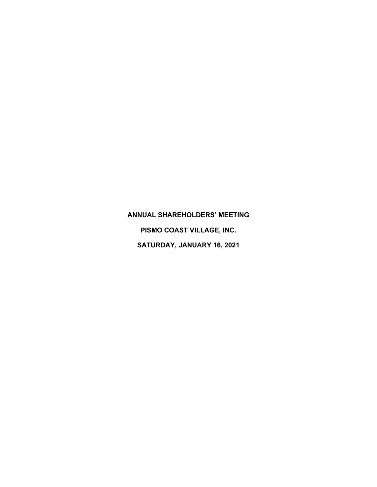## **ANNUAL SHAREHOLDERS' MEETING**

**PISMO COAST VILLAGE, INC. SATURDAY, JANUARY 16, 2021**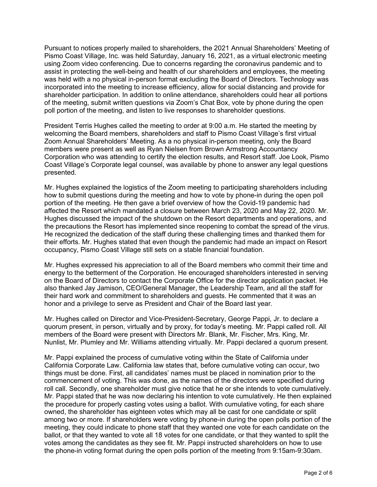Pursuant to notices properly mailed to shareholders, the 2021 Annual Shareholders' Meeting of Pismo Coast Village, Inc. was held Saturday, January 16, 2021, as a virtual electronic meeting using Zoom video conferencing. Due to concerns regarding the coronavirus pandemic and to assist in protecting the well-being and health of our shareholders and employees, the meeting was held with a no physical in-person format excluding the Board of Directors. Technology was incorporated into the meeting to increase efficiency, allow for social distancing and provide for shareholder participation. In addition to online attendance, shareholders could hear all portions of the meeting, submit written questions via Zoom's Chat Box, vote by phone during the open poll portion of the meeting, and listen to live responses to shareholder questions.

President Terris Hughes called the meeting to order at 9:00 a.m. He started the meeting by welcoming the Board members, shareholders and staff to Pismo Coast Village's first virtual Zoom Annual Shareholders' Meeting. As a no physical in-person meeting, only the Board members were present as well as Ryan Nielsen from Brown Armstrong Accountancy Corporation who was attending to certify the election results, and Resort staff. Joe Look, Pismo Coast Village's Corporate legal counsel, was available by phone to answer any legal questions presented.

Mr. Hughes explained the logistics of the Zoom meeting to participating shareholders including how to submit questions during the meeting and how to vote by phone-in during the open poll portion of the meeting. He then gave a brief overview of how the Covid-19 pandemic had affected the Resort which mandated a closure between March 23, 2020 and May 22, 2020. Mr. Hughes discussed the impact of the shutdown on the Resort departments and operations, and the precautions the Resort has implemented since reopening to combat the spread of the virus. He recognized the dedication of the staff during these challenging times and thanked them for their efforts. Mr. Hughes stated that even though the pandemic had made an impact on Resort occupancy, Pismo Coast Village still sets on a stable financial foundation.

Mr. Hughes expressed his appreciation to all of the Board members who commit their time and energy to the betterment of the Corporation. He encouraged shareholders interested in serving on the Board of Directors to contact the Corporate Office for the director application packet. He also thanked Jay Jamison, CEO/General Manager, the Leadership Team, and all the staff for their hard work and commitment to shareholders and guests. He commented that it was an honor and a privilege to serve as President and Chair of the Board last year.

Mr. Hughes called on Director and Vice-President-Secretary, George Pappi, Jr. to declare a quorum present, in person, virtually and by proxy, for today's meeting. Mr. Pappi called roll. All members of the Board were present with Directors Mr. Blank, Mr. Fischer, Mrs. King, Mr. Nunlist, Mr. Plumley and Mr. Williams attending virtually. Mr. Pappi declared a quorum present.

Mr. Pappi explained the process of cumulative voting within the State of California under California Corporate Law. California law states that, before cumulative voting can occur, two things must be done. First, all candidates' names must be placed in nomination prior to the commencement of voting. This was done, as the names of the directors were specified during roll call. Secondly, one shareholder must give notice that he or she intends to vote cumulatively. Mr. Pappi stated that he was now declaring his intention to vote cumulatively. He then explained the procedure for properly casting votes using a ballot. With cumulative voting, for each share owned, the shareholder has eighteen votes which may all be cast for one candidate or split among two or more. If shareholders were voting by phone-in during the open polls portion of the meeting, they could indicate to phone staff that they wanted one vote for each candidate on the ballot, or that they wanted to vote all 18 votes for one candidate, or that they wanted to split the votes among the candidates as they see fit. Mr. Pappi instructed shareholders on how to use the phone-in voting format during the open polls portion of the meeting from 9:15am-9:30am.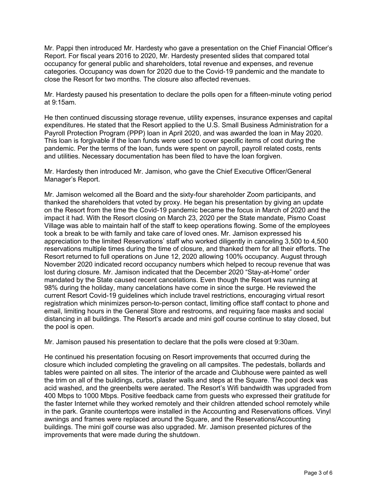Mr. Pappi then introduced Mr. Hardesty who gave a presentation on the Chief Financial Officer's Report. For fiscal years 2016 to 2020, Mr. Hardesty presented slides that compared total occupancy for general public and shareholders, total revenue and expenses, and revenue categories. Occupancy was down for 2020 due to the Covid-19 pandemic and the mandate to close the Resort for two months. The closure also affected revenues.

Mr. Hardesty paused his presentation to declare the polls open for a fifteen-minute voting period at 9:15am.

He then continued discussing storage revenue, utility expenses, insurance expenses and capital expenditures. He stated that the Resort applied to the U.S. Small Business Administration for a Payroll Protection Program (PPP) loan in April 2020, and was awarded the loan in May 2020. This loan is forgivable if the loan funds were used to cover specific items of cost during the pandemic. Per the terms of the loan, funds were spent on payroll, payroll related costs, rents and utilities. Necessary documentation has been filed to have the loan forgiven.

Mr. Hardesty then introduced Mr. Jamison, who gave the Chief Executive Officer/General Manager's Report.

Mr. Jamison welcomed all the Board and the sixty-four shareholder Zoom participants, and thanked the shareholders that voted by proxy. He began his presentation by giving an update on the Resort from the time the Covid-19 pandemic became the focus in March of 2020 and the impact it had. With the Resort closing on March 23, 2020 per the State mandate, Pismo Coast Village was able to maintain half of the staff to keep operations flowing. Some of the employees took a break to be with family and take care of loved ones. Mr. Jamison expressed his appreciation to the limited Reservations' staff who worked diligently in canceling 3,500 to 4,500 reservations multiple times during the time of closure, and thanked them for all their efforts. The Resort returned to full operations on June 12, 2020 allowing 100% occupancy. August through November 2020 indicated record occupancy numbers which helped to recoup revenue that was lost during closure. Mr. Jamison indicated that the December 2020 "Stay-at-Home" order mandated by the State caused recent cancelations. Even though the Resort was running at 98% during the holiday, many cancelations have come in since the surge. He reviewed the current Resort Covid-19 guidelines which include travel restrictions, encouraging virtual resort registration which minimizes person-to-person contact, limiting office staff contact to phone and email, limiting hours in the General Store and restrooms, and requiring face masks and social distancing in all buildings. The Resort's arcade and mini golf course continue to stay closed, but the pool is open.

Mr. Jamison paused his presentation to declare that the polls were closed at 9:30am.

He continued his presentation focusing on Resort improvements that occurred during the closure which included completing the graveling on all campsites. The pedestals, bollards and tables were painted on all sites. The interior of the arcade and Clubhouse were painted as well the trim on all of the buildings, curbs, plaster walls and steps at the Square. The pool deck was acid washed, and the greenbelts were aerated. The Resort's Wifi bandwidth was upgraded from 400 Mbps to 1000 Mbps. Positive feedback came from guests who expressed their gratitude for the faster Internet while they worked remotely and their children attended school remotely while in the park. Granite countertops were installed in the Accounting and Reservations offices. Vinyl awnings and frames were replaced around the Square, and the Reservations/Accounting buildings. The mini golf course was also upgraded. Mr. Jamison presented pictures of the improvements that were made during the shutdown.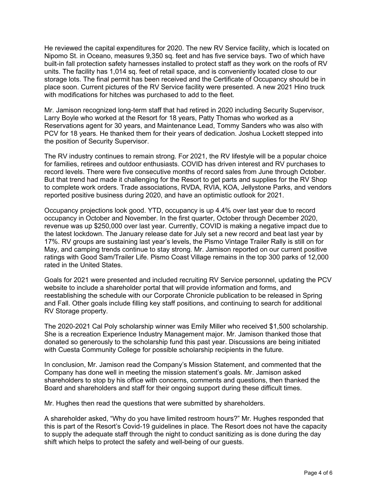He reviewed the capital expenditures for 2020. The new RV Service facility, which is located on Nipomo St. in Oceano, measures 9,350 sq. feet and has five service bays. Two of which have built-in fall protection safety harnesses installed to protect staff as they work on the roofs of RV units. The facility has 1,014 sq. feet of retail space, and is conveniently located close to our storage lots. The final permit has been received and the Certificate of Occupancy should be in place soon. Current pictures of the RV Service facility were presented. A new 2021 Hino truck with modifications for hitches was purchased to add to the fleet.

Mr. Jamison recognized long-term staff that had retired in 2020 including Security Supervisor, Larry Boyle who worked at the Resort for 18 years, Patty Thomas who worked as a Reservations agent for 30 years, and Maintenance Lead, Tommy Sanders who was also with PCV for 18 years. He thanked them for their years of dedication. Joshua Lockett stepped into the position of Security Supervisor.

The RV industry continues to remain strong. For 2021, the RV lifestyle will be a popular choice for families, retirees and outdoor enthusiasts. COVID has driven interest and RV purchases to record levels. There were five consecutive months of record sales from June through October. But that trend had made it challenging for the Resort to get parts and supplies for the RV Shop to complete work orders. Trade associations, RVDA, RVIA, KOA, Jellystone Parks, and vendors reported positive business during 2020, and have an optimistic outlook for 2021.

Occupancy projections look good. YTD, occupancy is up 4.4% over last year due to record occupancy in October and November. In the first quarter, October through December 2020, revenue was up \$250,000 over last year. Currently, COVID is making a negative impact due to the latest lockdown. The January release date for July set a new record and beat last year by 17%. RV groups are sustaining last year's levels, the Pismo Vintage Trailer Rally is still on for May, and camping trends continue to stay strong. Mr. Jamison reported on our current positive ratings with Good Sam/Trailer Life. Pismo Coast Village remains in the top 300 parks of 12,000 rated in the United States.

Goals for 2021 were presented and included recruiting RV Service personnel, updating the PCV website to include a shareholder portal that will provide information and forms, and reestablishing the schedule with our Corporate Chronicle publication to be released in Spring and Fall. Other goals include filling key staff positions, and continuing to search for additional RV Storage property.

The 2020-2021 Cal Poly scholarship winner was Emily Miller who received \$1,500 scholarship. She is a recreation Experience Industry Management major. Mr. Jamison thanked those that donated so generously to the scholarship fund this past year. Discussions are being initiated with Cuesta Community College for possible scholarship recipients in the future.

In conclusion, Mr. Jamison read the Company's Mission Statement, and commented that the Company has done well in meeting the mission statement's goals. Mr. Jamison asked shareholders to stop by his office with concerns, comments and questions, then thanked the Board and shareholders and staff for their ongoing support during these difficult times.

Mr. Hughes then read the questions that were submitted by shareholders.

A shareholder asked, "Why do you have limited restroom hours?" Mr. Hughes responded that this is part of the Resort's Covid-19 guidelines in place. The Resort does not have the capacity to supply the adequate staff through the night to conduct sanitizing as is done during the day shift which helps to protect the safety and well-being of our guests.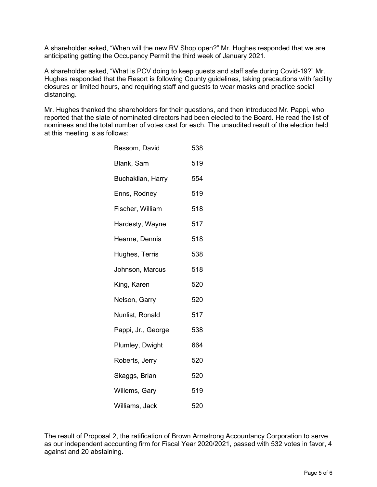A shareholder asked, "When will the new RV Shop open?" Mr. Hughes responded that we are anticipating getting the Occupancy Permit the third week of January 2021.

A shareholder asked, "What is PCV doing to keep guests and staff safe during Covid-19?" Mr. Hughes responded that the Resort is following County guidelines, taking precautions with facility closures or limited hours, and requiring staff and guests to wear masks and practice social distancing.

Mr. Hughes thanked the shareholders for their questions, and then introduced Mr. Pappi, who reported that the slate of nominated directors had been elected to the Board. He read the list of nominees and the total number of votes cast for each. The unaudited result of the election held at this meeting is as follows:

| Bessom, David      | 538 |
|--------------------|-----|
| Blank, Sam         | 519 |
| Buchaklian, Harry  | 554 |
| Enns, Rodney       | 519 |
| Fischer, William   | 518 |
| Hardesty, Wayne    | 517 |
| Hearne, Dennis     | 518 |
| Hughes, Terris     | 538 |
| Johnson, Marcus    | 518 |
| King, Karen        | 520 |
| Nelson, Garry      | 520 |
| Nunlist, Ronald    | 517 |
| Pappi, Jr., George | 538 |
| Plumley, Dwight    | 664 |
| Roberts, Jerry     | 520 |
| Skaggs, Brian      | 520 |
| Willems, Gary      | 519 |
| Williams, Jack     | 520 |

The result of Proposal 2, the ratification of Brown Armstrong Accountancy Corporation to serve as our independent accounting firm for Fiscal Year 2020/2021, passed with 532 votes in favor, 4 against and 20 abstaining.